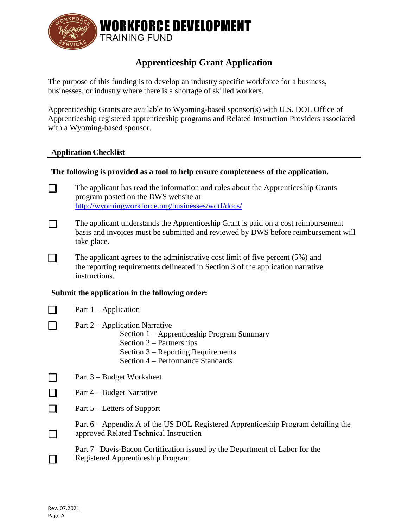

# **Apprenticeship Grant Application**

The purpose of this funding is to develop an industry specific workforce for a business, businesses, or industry where there is a shortage of skilled workers.

Apprenticeship Grants are available to Wyoming-based sponsor(s) with U.S. DOL Office of Apprenticeship registered apprenticeship programs and Related Instruction Providers associated with a Wyoming-based sponsor.

#### **Application Checklist**

### **The following is provided as a tool to help ensure completeness of the application.**

The applicant has read the information and rules about the Apprenticeship Grants П program posted on the DWS website at <http://wyomingworkforce.org/businesses/wdtf/docs/>

- The applicant understands the Apprenticeship Grant is paid on a cost reimbursement П basis and invoices must be submitted and reviewed by DWS before reimbursement will take place.
- The applicant agrees to the administrative cost limit of five percent (5%) and П. the reporting requirements delineated in Section 3 of the application narrative instructions.

#### **Submit the application in the following order:**

- П Part  $1 -$  Application
	- Part 2 Application Narrative
		- Section 1 Apprenticeship Program Summary
		- Section 2 Partnerships
		- Section 3 Reporting Requirements
		- Section 4 Performance Standards
- $\Box$ Part 3 – Budget Worksheet

 $\Box$ Part 4 – Budget Narrative

- $\Box$ Part 5 – Letters of Support
	- approved Related Technical Instruction Part 6 – Appendix A of the US DOL Registered Apprenticeship Program detailing the
	- Registered Apprenticeship Program Part 7 –Davis-Bacon Certification issued by the Department of Labor for the

П

 $\Box$ 

 $\Box$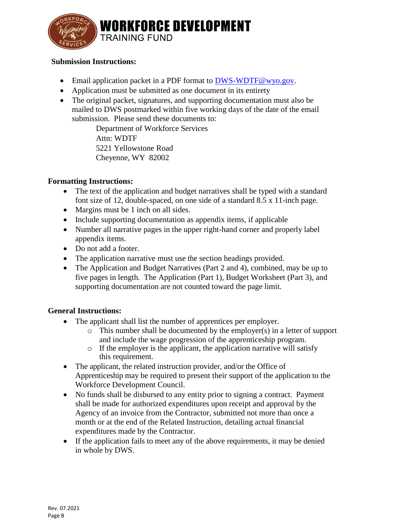

#### **Submission Instructions:**

- Email application packet in a PDF format to [DWS-WDTF@wyo.gov.](mailto:DWS-WDTF@wyo.gov)
- Application must be submitted as one document in its entirety
- The original packet, signatures, and supporting documentation must also be mailed to DWS postmarked within five working days of the date of the email submission. Please send these documents to:

Department of Workforce Services Attn: WDTF 5221 Yellowstone Road Cheyenne, WY 82002

### **Formatting Instructions:**

- The text of the application and budget narratives shall be typed with a standard font size of 12, double-spaced, on one side of a standard 8.5 x 11-inch page.
- Margins must be 1 inch on all sides.
- Include supporting documentation as appendix items, if applicable
- Number all narrative pages in the upper right-hand corner and properly label appendix items.
- Do not add a footer.
- The application narrative must use the section headings provided.
- The Application and Budget Narratives (Part 2 and 4), combined, may be up to five pages in length. The Application (Part 1), Budget Worksheet (Part 3), and supporting documentation are not counted toward the page limit.

### **General Instructions:**

- The applicant shall list the number of apprentices per employer.
	- o This number shall be documented by the employer(s) in a letter of support and include the wage progression of the apprenticeship program.
	- o If the employer is the applicant, the application narrative will satisfy this requirement.
- The applicant, the related instruction provider, and/or the Office of Apprenticeship may be required to present their support of the application to the Workforce Development Council.
- No funds shall be disbursed to any entity prior to signing a contract. Payment shall be made for authorized expenditures upon receipt and approval by the Agency of an invoice from the Contractor, submitted not more than once a month or at the end of the Related Instruction, detailing actual financial expenditures made by the Contractor.
- If the application fails to meet any of the above requirements, it may be denied in whole by DWS.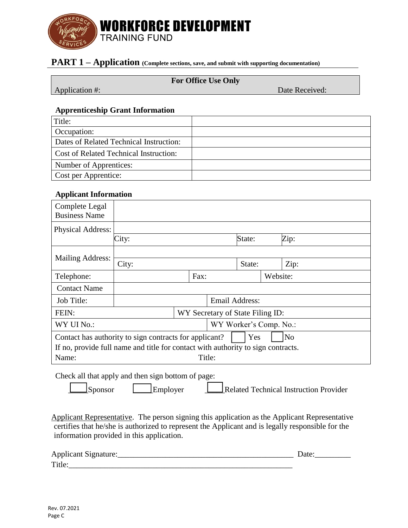

## **PART 1 – Application** (Complete sections, save, and submit with supporting documentation)

#### **For Office Use Only**

Application #: Date Received:

#### **Apprenticeship Grant Information**

| Title:                                        |  |
|-----------------------------------------------|--|
| Occupation:                                   |  |
| Dates of Related Technical Instruction:       |  |
| <b>Cost of Related Technical Instruction:</b> |  |
| Number of Apprentices:                        |  |
| Cost per Apprentice:                          |  |

#### **Applicant Information**

| Complete Legal<br><b>Business Name</b>                                           |                                  |  |        |                        |        |  |      |  |
|----------------------------------------------------------------------------------|----------------------------------|--|--------|------------------------|--------|--|------|--|
| <b>Physical Address:</b>                                                         |                                  |  |        |                        |        |  |      |  |
|                                                                                  | City:                            |  |        |                        | State: |  | Zip: |  |
|                                                                                  |                                  |  |        |                        |        |  |      |  |
| Mailing Address:                                                                 | City:                            |  | State: |                        | Zip:   |  |      |  |
| Telephone:                                                                       | Fax:                             |  |        | Website:               |        |  |      |  |
| <b>Contact Name</b>                                                              |                                  |  |        |                        |        |  |      |  |
| Job Title:                                                                       | Email Address:                   |  |        |                        |        |  |      |  |
| FEIN:                                                                            | WY Secretary of State Filing ID: |  |        |                        |        |  |      |  |
| WY UI No.:                                                                       |                                  |  |        | WY Worker's Comp. No.: |        |  |      |  |
| Yes<br>Contact has authority to sign contracts for applicant?<br>N <sub>o</sub>  |                                  |  |        |                        |        |  |      |  |
| If no, provide full name and title for contact with authority to sign contracts. |                                  |  |        |                        |        |  |      |  |
| Name:                                                                            | Title:                           |  |        |                        |        |  |      |  |

#### Check all that apply and then sign bottom of page:

Sponsor Employer Related Technical Instruction Provider

Applicant Representative. The person signing this application as the Applicant Representative certifies that he/she is authorized to represent the Applicant and is legally responsible for the information provided in this application.

| Applicant<br>. моняште: |  |
|-------------------------|--|
| m.<br>110               |  |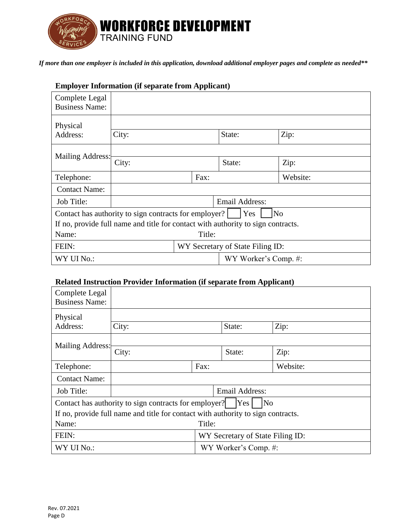

*If more than one employer is included in this application, download additional employer pages and complete as needed\*\**

## **Employer Information (if separate from Applicant)**

| Complete Legal<br><b>Business Name:</b>                                          |                                  |  |  |        |  |  |                      |
|----------------------------------------------------------------------------------|----------------------------------|--|--|--------|--|--|----------------------|
| Physical<br>Address:                                                             | City:                            |  |  | State: |  |  | Zip:                 |
| Mailing Address:                                                                 | City:                            |  |  | State: |  |  | Zip:                 |
| Telephone:                                                                       | Fax:                             |  |  |        |  |  | Website:             |
| <b>Contact Name:</b>                                                             |                                  |  |  |        |  |  |                      |
| Job Title:                                                                       | Email Address:                   |  |  |        |  |  |                      |
| Yes<br>N <sub>o</sub><br>Contact has authority to sign contracts for employer?   |                                  |  |  |        |  |  |                      |
| If no, provide full name and title for contact with authority to sign contracts. |                                  |  |  |        |  |  |                      |
| Name:                                                                            | Title:                           |  |  |        |  |  |                      |
| FEIN:                                                                            | WY Secretary of State Filing ID: |  |  |        |  |  |                      |
| WY UI No.:                                                                       |                                  |  |  |        |  |  | WY Worker's Comp. #: |

## **Related Instruction Provider Information (if separate from Applicant)**

| Complete Legal<br><b>Business Name:</b>                                          |                                  |      |                      |          |  |  |
|----------------------------------------------------------------------------------|----------------------------------|------|----------------------|----------|--|--|
| Physical                                                                         |                                  |      |                      |          |  |  |
| Address:                                                                         | City:                            |      | State:               | Zip:     |  |  |
|                                                                                  |                                  |      |                      |          |  |  |
| Mailing Address:                                                                 | City:                            |      | State:               | Zip:     |  |  |
| Telephone:                                                                       |                                  | Fax: |                      | Website: |  |  |
| <b>Contact Name:</b>                                                             |                                  |      |                      |          |  |  |
| Job Title:                                                                       | <b>Email Address:</b>            |      |                      |          |  |  |
| Yes<br>No<br>Contact has authority to sign contracts for employer?               |                                  |      |                      |          |  |  |
| If no, provide full name and title for contact with authority to sign contracts. |                                  |      |                      |          |  |  |
| Name:                                                                            | Title:                           |      |                      |          |  |  |
| FEIN:                                                                            | WY Secretary of State Filing ID: |      |                      |          |  |  |
| WY UI No.:                                                                       |                                  |      | WY Worker's Comp. #: |          |  |  |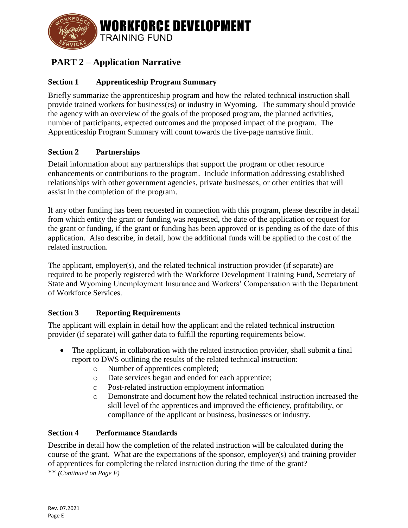

# **PART 2 – Application Narrative**

## **Section 1 Apprenticeship Program Summary**

Briefly summarize the apprenticeship program and how the related technical instruction shall provide trained workers for business(es) or industry in Wyoming. The summary should provide the agency with an overview of the goals of the proposed program, the planned activities, number of participants, expected outcomes and the proposed impact of the program. The Apprenticeship Program Summary will count towards the five-page narrative limit.

## **Section 2 Partnerships**

Detail information about any partnerships that support the program or other resource enhancements or contributions to the program. Include information addressing established relationships with other government agencies, private businesses, or other entities that will assist in the completion of the program.

If any other funding has been requested in connection with this program, please describe in detail from which entity the grant or funding was requested, the date of the application or request for the grant or funding, if the grant or funding has been approved or is pending as of the date of this application. Also describe, in detail, how the additional funds will be applied to the cost of the related instruction.

The applicant, employer(s), and the related technical instruction provider (if separate) are required to be properly registered with the Workforce Development Training Fund, Secretary of State and Wyoming Unemployment Insurance and Workers' Compensation with the Department of Workforce Services.

### **Section 3 Reporting Requirements**

The applicant will explain in detail how the applicant and the related technical instruction provider (if separate) will gather data to fulfill the reporting requirements below.

- The applicant, in collaboration with the related instruction provider, shall submit a final report to DWS outlining the results of the related technical instruction:
	- o Number of apprentices completed;
	- o Date services began and ended for each apprentice;
	- o Post-related instruction employment information
	- o Demonstrate and document how the related technical instruction increased the skill level of the apprentices and improved the efficiency, profitability, or compliance of the applicant or business, businesses or industry.

### **Section 4 Performance Standards**

Describe in detail how the completion of the related instruction will be calculated during the course of the grant. What are the expectations of the sponsor, employer(s) and training provider of apprentices for completing the related instruction during the time of the grant? \*\* *(Continued on Page F)*

Rev. 07.2021 Page E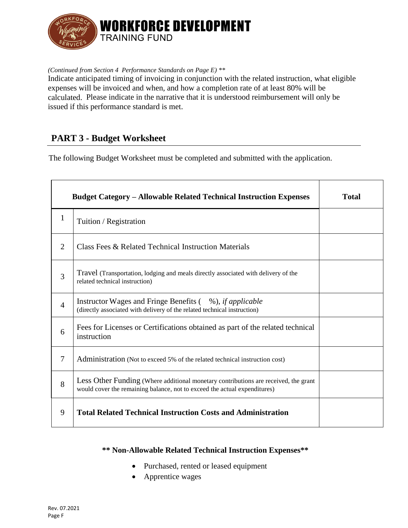

*(Continued from Section 4 Performance Standards on Page E) \*\**

Indicate anticipated timing of invoicing in conjunction with the related instruction, what eligible expenses will be invoiced and when, and how a completion rate of at least 80% will be calculated. Please indicate in the narrative that it is understood reimbursement will only be issued if this performance standard is met.

## **PART 3 - Budget Worksheet**

The following Budget Worksheet must be completed and submitted with the application.

|                | <b>Budget Category – Allowable Related Technical Instruction Expenses</b>                                                                                        | <b>Total</b> |
|----------------|------------------------------------------------------------------------------------------------------------------------------------------------------------------|--------------|
| $\mathbf{1}$   | Tuition / Registration                                                                                                                                           |              |
| $\overline{2}$ | Class Fees & Related Technical Instruction Materials                                                                                                             |              |
| 3              | Travel (Transportation, lodging and meals directly associated with delivery of the<br>related technical instruction)                                             |              |
| $\overline{4}$ | Instructor Wages and Fringe Benefits (%), <i>if applicable</i><br>(directly associated with delivery of the related technical instruction)                       |              |
| 6              | Fees for Licenses or Certifications obtained as part of the related technical<br>instruction                                                                     |              |
| 7              | Administration (Not to exceed 5% of the related technical instruction cost)                                                                                      |              |
| 8              | Less Other Funding (Where additional monetary contributions are received, the grant<br>would cover the remaining balance, not to exceed the actual expenditures) |              |
| 9              | <b>Total Related Technical Instruction Costs and Administration</b>                                                                                              |              |

#### **\*\* Non-Allowable Related Technical Instruction Expenses\*\***

- Purchased, rented or leased equipment
- Apprentice wages